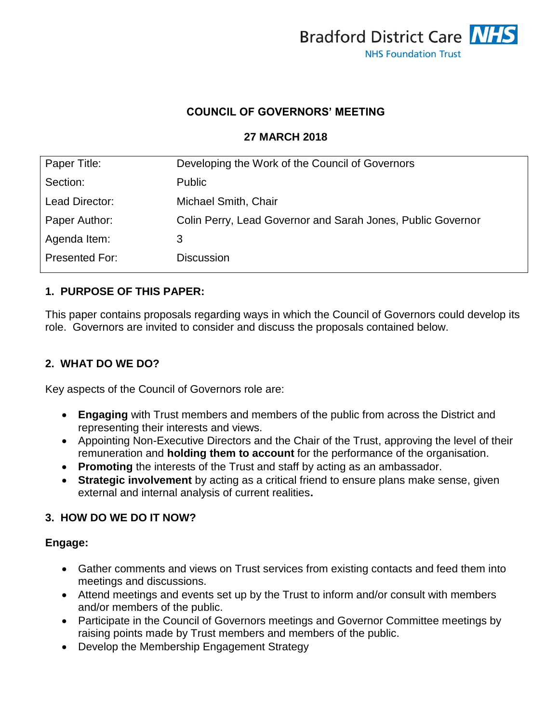

#### **COUNCIL OF GOVERNORS' MEETING**

#### **27 MARCH 2018**

| Paper Title:   | Developing the Work of the Council of Governors             |
|----------------|-------------------------------------------------------------|
| Section:       | <b>Public</b>                                               |
| Lead Director: | Michael Smith, Chair                                        |
| Paper Author:  | Colin Perry, Lead Governor and Sarah Jones, Public Governor |
| Agenda Item:   | 3                                                           |
| Presented For: | <b>Discussion</b>                                           |

#### **1. PURPOSE OF THIS PAPER:**

This paper contains proposals regarding ways in which the Council of Governors could develop its role. Governors are invited to consider and discuss the proposals contained below.

## **2. WHAT DO WE DO?**

Key aspects of the Council of Governors role are:

- **Engaging** with Trust members and members of the public from across the District and representing their interests and views.
- Appointing Non-Executive Directors and the Chair of the Trust, approving the level of their remuneration and **holding them to account** for the performance of the organisation.
- **Promoting** the interests of the Trust and staff by acting as an ambassador.
- **Strategic involvement** by acting as a critical friend to ensure plans make sense, given external and internal analysis of current realities**.**

#### **3. HOW DO WE DO IT NOW?**

#### **Engage:**

- Gather comments and views on Trust services from existing contacts and feed them into meetings and discussions.
- Attend meetings and events set up by the Trust to inform and/or consult with members and/or members of the public.
- Participate in the Council of Governors meetings and Governor Committee meetings by raising points made by Trust members and members of the public.
- Develop the Membership Engagement Strategy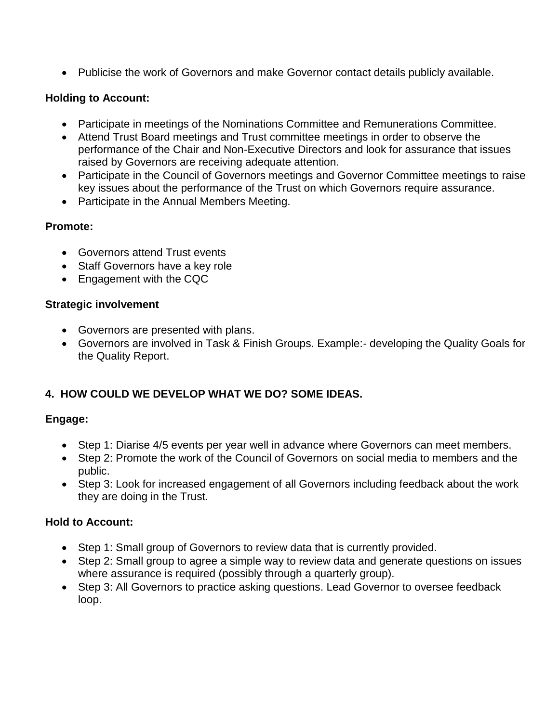Publicise the work of Governors and make Governor contact details publicly available.

# **Holding to Account:**

- Participate in meetings of the Nominations Committee and Remunerations Committee.
- Attend Trust Board meetings and Trust committee meetings in order to observe the performance of the Chair and Non-Executive Directors and look for assurance that issues raised by Governors are receiving adequate attention.
- Participate in the Council of Governors meetings and Governor Committee meetings to raise key issues about the performance of the Trust on which Governors require assurance.
- Participate in the Annual Members Meeting.

## **Promote:**

- Governors attend Trust events
- Staff Governors have a key role
- Engagement with the CQC

## **Strategic involvement**

- Governors are presented with plans.
- Governors are involved in Task & Finish Groups. Example:- developing the Quality Goals for the Quality Report.

# **4. HOW COULD WE DEVELOP WHAT WE DO? SOME IDEAS.**

## **Engage:**

- Step 1: Diarise 4/5 events per year well in advance where Governors can meet members.
- Step 2: Promote the work of the Council of Governors on social media to members and the public.
- Step 3: Look for increased engagement of all Governors including feedback about the work they are doing in the Trust.

## **Hold to Account:**

- Step 1: Small group of Governors to review data that is currently provided.
- Step 2: Small group to agree a simple way to review data and generate questions on issues where assurance is required (possibly through a quarterly group).
- Step 3: All Governors to practice asking questions. Lead Governor to oversee feedback loop.